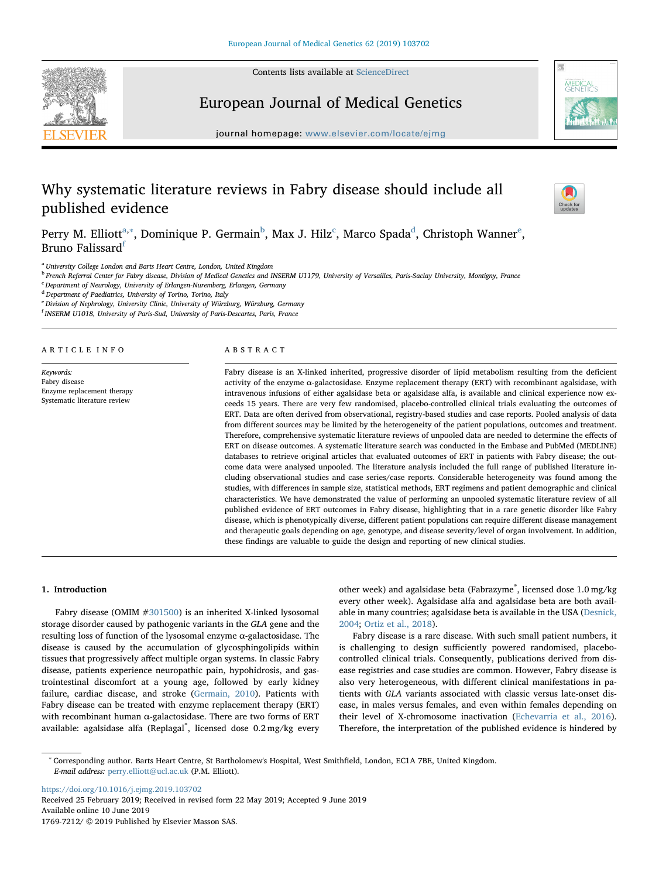Contents lists available at [ScienceDirect](http://www.sciencedirect.com/science/journal/17697212)





# European Journal of Medical Genetics

journal homepage: [www.elsevier.com/locate/ejmg](https://www.elsevier.com/locate/ejmg)

# Why systematic literature reviews in Fabry disease should include all published evidence



Perry M. Elliott<sup>[a,](#page-0-0)</sup>\*, Dominique P. Germain<sup>[b](#page-0-2)</sup>, Max J. Hilz<sup>[c](#page-0-3)</sup>, Marco Sp[ad](#page-0-4)a<sup>d</sup>, Christoph Wann[e](#page-0-5)r<sup>e</sup>, Bruno Falissard<sup>[f](#page-0-6)</sup>

<span id="page-0-0"></span><sup>a</sup> University College London and Barts Heart Centre, London, United Kingdom

<span id="page-0-2"></span>**b French Referral Center for Fabry disease, Division of Medical Genetics and INSERM U1179, University of Versailles, Paris-Saclay University, Montigny, France** 

<span id="page-0-3"></span><sup>c</sup> Department of Neurology, University of Erlangen-Nuremberg, Erlangen, Germany

<span id="page-0-4"></span><sup>d</sup> Department of Paediatrics, University of Torino, Torino, Italy

<span id="page-0-5"></span><sup>e</sup> Division of Nephrology, University Clinic, University of Würzburg, Würzburg, Germany

<span id="page-0-6"></span><sup>f</sup> INSERM U1018, University of Paris-Sud, University of Paris-Descartes, Paris, France

#### ARTICLE INFO

Keywords: Fabry disease Enzyme replacement therapy Systematic literature review

### ABSTRACT

Fabry disease is an X-linked inherited, progressive disorder of lipid metabolism resulting from the deficient activity of the enzyme  $\alpha$ -galactosidase. Enzyme replacement therapy (ERT) with recombinant agalsidase, with intravenous infusions of either agalsidase beta or agalsidase alfa, is available and clinical experience now exceeds 15 years. There are very few randomised, placebo-controlled clinical trials evaluating the outcomes of ERT. Data are often derived from observational, registry-based studies and case reports. Pooled analysis of data from different sources may be limited by the heterogeneity of the patient populations, outcomes and treatment. Therefore, comprehensive systematic literature reviews of unpooled data are needed to determine the effects of ERT on disease outcomes. A systematic literature search was conducted in the Embase and PubMed (MEDLINE) databases to retrieve original articles that evaluated outcomes of ERT in patients with Fabry disease; the outcome data were analysed unpooled. The literature analysis included the full range of published literature including observational studies and case series/case reports. Considerable heterogeneity was found among the studies, with differences in sample size, statistical methods, ERT regimens and patient demographic and clinical characteristics. We have demonstrated the value of performing an unpooled systematic literature review of all published evidence of ERT outcomes in Fabry disease, highlighting that in a rare genetic disorder like Fabry disease, which is phenotypically diverse, different patient populations can require different disease management and therapeutic goals depending on age, genotype, and disease severity/level of organ involvement. In addition, these findings are valuable to guide the design and reporting of new clinical studies.

## 1. Introduction

Fabry disease (OMIM #[301500\)](http://omim.org/entry/301500) is an inherited X-linked lysosomal storage disorder caused by pathogenic variants in the GLA gene and the resulting loss of function of the lysosomal enzyme α-galactosidase. The disease is caused by the accumulation of glycosphingolipids within tissues that progressively affect multiple organ systems. In classic Fabry disease, patients experience neuropathic pain, hypohidrosis, and gastrointestinal discomfort at a young age, followed by early kidney failure, cardiac disease, and stroke ([Germain, 2010\)](#page-7-0). Patients with Fabry disease can be treated with enzyme replacement therapy (ERT) with recombinant human α-galactosidase. There are two forms of ERT available: agalsidase alfa (Replagal® , licensed dose 0.2 mg/kg every

other week) and agalsidase beta (Fabrazyme<sup>®</sup>, licensed dose 1.0 mg/kg every other week). Agalsidase alfa and agalsidase beta are both available in many countries; agalsidase beta is available in the USA ([Desnick,](#page-7-1) [2004;](#page-7-1) [Ortiz et al., 2018\)](#page-7-2).

Fabry disease is a rare disease. With such small patient numbers, it is challenging to design sufficiently powered randomised, placebocontrolled clinical trials. Consequently, publications derived from disease registries and case studies are common. However, Fabry disease is also very heterogeneous, with different clinical manifestations in patients with GLA variants associated with classic versus late-onset disease, in males versus females, and even within females depending on their level of X-chromosome inactivation [\(Echevarria et al., 2016](#page-7-3)). Therefore, the interpretation of the published evidence is hindered by

<span id="page-0-1"></span><sup>∗</sup> Corresponding author. Barts Heart Centre, St Bartholomew's Hospital, West Smithfield, London, EC1A 7BE, United Kingdom. E-mail address: [perry.elliott@ucl.ac.uk](mailto:perry.elliott@ucl.ac.uk) (P.M. Elliott).

<https://doi.org/10.1016/j.ejmg.2019.103702> Received 25 February 2019; Received in revised form 22 May 2019; Accepted 9 June 2019 Available online 10 June 2019 1769-7212/ © 2019 Published by Elsevier Masson SAS.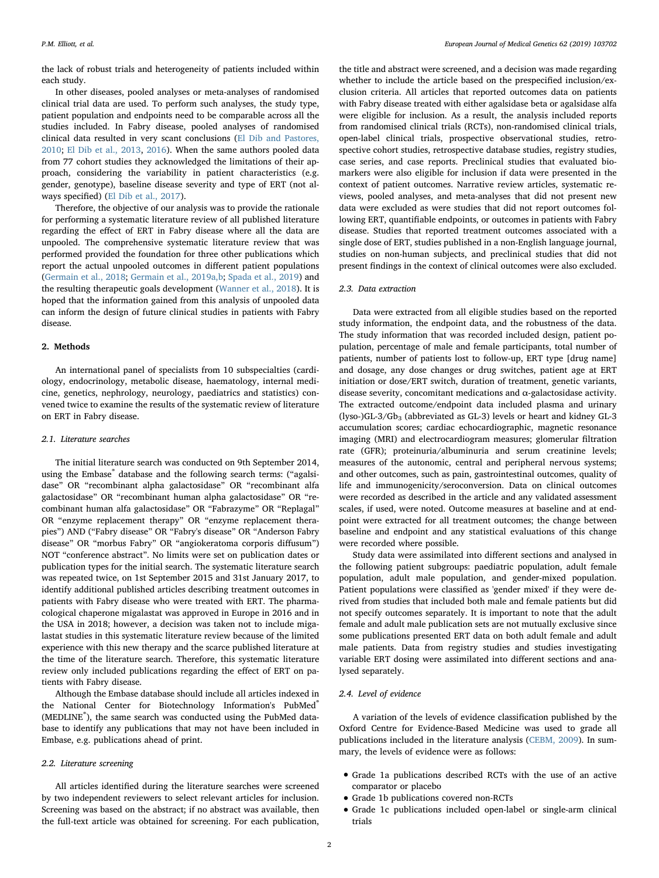P.M. Elliott, et al. *European Journal of Medical Genetics 62 (2019) 103702*

the lack of robust trials and heterogeneity of patients included within each study.

In other diseases, pooled analyses or meta-analyses of randomised clinical trial data are used. To perform such analyses, the study type, patient population and endpoints need to be comparable across all the studies included. In Fabry disease, pooled analyses of randomised clinical data resulted in very scant conclusions ([El Dib and Pastores,](#page-7-4) [2010;](#page-7-4) [El Dib et al., 2013](#page-7-5), [2016\)](#page-7-6). When the same authors pooled data from 77 cohort studies they acknowledged the limitations of their approach, considering the variability in patient characteristics (e.g. gender, genotype), baseline disease severity and type of ERT (not always specified) ([El Dib et al., 2017](#page-7-7)).

Therefore, the objective of our analysis was to provide the rationale for performing a systematic literature review of all published literature regarding the effect of ERT in Fabry disease where all the data are unpooled. The comprehensive systematic literature review that was performed provided the foundation for three other publications which report the actual unpooled outcomes in different patient populations ([Germain et al., 2018;](#page-7-8) [Germain et al., 2019a,b;](#page-7-9) [Spada et al., 2019](#page-7-10)) and the resulting therapeutic goals development [\(Wanner et al., 2018\)](#page-7-11). It is hoped that the information gained from this analysis of unpooled data can inform the design of future clinical studies in patients with Fabry disease.

# 2. Methods

An international panel of specialists from 10 subspecialties (cardiology, endocrinology, metabolic disease, haematology, internal medicine, genetics, nephrology, neurology, paediatrics and statistics) convened twice to examine the results of the systematic review of literature on ERT in Fabry disease.

## 2.1. Literature searches

The initial literature search was conducted on 9th September 2014, using the Embase<sup>®</sup> database and the following search terms: ("agalsidase" OR "recombinant alpha galactosidase" OR "recombinant alfa galactosidase" OR "recombinant human alpha galactosidase" OR "recombinant human alfa galactosidase" OR "Fabrazyme" OR "Replagal" OR "enzyme replacement therapy" OR "enzyme replacement therapies") AND ("Fabry disease" OR "Fabry's disease" OR "Anderson Fabry disease" OR "morbus Fabry" OR "angiokeratoma corporis diffusum") NOT "conference abstract". No limits were set on publication dates or publication types for the initial search. The systematic literature search was repeated twice, on 1st September 2015 and 31st January 2017, to identify additional published articles describing treatment outcomes in patients with Fabry disease who were treated with ERT. The pharmacological chaperone migalastat was approved in Europe in 2016 and in the USA in 2018; however, a decision was taken not to include migalastat studies in this systematic literature review because of the limited experience with this new therapy and the scarce published literature at the time of the literature search. Therefore, this systematic literature review only included publications regarding the effect of ERT on patients with Fabry disease.

Although the Embase database should include all articles indexed in the National Center for Biotechnology Information's PubMed® (MEDLINE®), the same search was conducted using the PubMed database to identify any publications that may not have been included in Embase, e.g. publications ahead of print.

## 2.2. Literature screening

All articles identified during the literature searches were screened by two independent reviewers to select relevant articles for inclusion. Screening was based on the abstract; if no abstract was available, then the full-text article was obtained for screening. For each publication, the title and abstract were screened, and a decision was made regarding whether to include the article based on the prespecified inclusion/exclusion criteria. All articles that reported outcomes data on patients with Fabry disease treated with either agalsidase beta or agalsidase alfa were eligible for inclusion. As a result, the analysis included reports from randomised clinical trials (RCTs), non-randomised clinical trials, open-label clinical trials, prospective observational studies, retrospective cohort studies, retrospective database studies, registry studies, case series, and case reports. Preclinical studies that evaluated biomarkers were also eligible for inclusion if data were presented in the context of patient outcomes. Narrative review articles, systematic reviews, pooled analyses, and meta-analyses that did not present new data were excluded as were studies that did not report outcomes following ERT, quantifiable endpoints, or outcomes in patients with Fabry disease. Studies that reported treatment outcomes associated with a single dose of ERT, studies published in a non-English language journal, studies on non-human subjects, and preclinical studies that did not present findings in the context of clinical outcomes were also excluded.

### 2.3. Data extraction

Data were extracted from all eligible studies based on the reported study information, the endpoint data, and the robustness of the data. The study information that was recorded included design, patient population, percentage of male and female participants, total number of patients, number of patients lost to follow-up, ERT type [drug name] and dosage, any dose changes or drug switches, patient age at ERT initiation or dose/ERT switch, duration of treatment, genetic variants, disease severity, concomitant medications and α-galactosidase activity. The extracted outcome/endpoint data included plasma and urinary (lyso-)GL-3/Gb<sub>3</sub> (abbreviated as GL-3) levels or heart and kidney GL-3 accumulation scores; cardiac echocardiographic, magnetic resonance imaging (MRI) and electrocardiogram measures; glomerular filtration rate (GFR); proteinuria/albuminuria and serum creatinine levels; measures of the autonomic, central and peripheral nervous systems; and other outcomes, such as pain, gastrointestinal outcomes, quality of life and immunogenicity/seroconversion. Data on clinical outcomes were recorded as described in the article and any validated assessment scales, if used, were noted. Outcome measures at baseline and at endpoint were extracted for all treatment outcomes; the change between baseline and endpoint and any statistical evaluations of this change were recorded where possible.

Study data were assimilated into different sections and analysed in the following patient subgroups: paediatric population, adult female population, adult male population, and gender-mixed population. Patient populations were classified as 'gender mixed' if they were derived from studies that included both male and female patients but did not specify outcomes separately. It is important to note that the adult female and adult male publication sets are not mutually exclusive since some publications presented ERT data on both adult female and adult male patients. Data from registry studies and studies investigating variable ERT dosing were assimilated into different sections and analysed separately.

# 2.4. Level of evidence

A variation of the levels of evidence classification published by the Oxford Centre for Evidence-Based Medicine was used to grade all publications included in the literature analysis [\(CEBM, 2009\)](#page-7-12). In summary, the levels of evidence were as follows:

- Grade 1a publications described RCTs with the use of an active comparator or placebo
- Grade 1b publications covered non-RCTs
- Grade 1c publications included open-label or single-arm clinical trials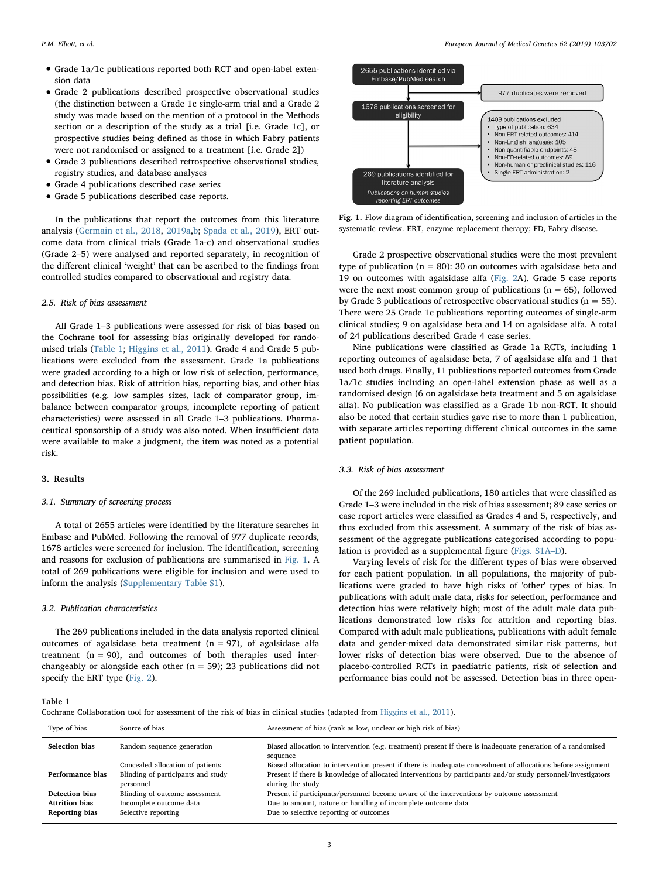- Grade 1a/1c publications reported both RCT and open-label extension data
- Grade 2 publications described prospective observational studies (the distinction between a Grade 1c single-arm trial and a Grade 2 study was made based on the mention of a protocol in the Methods section or a description of the study as a trial [i.e. Grade 1c], or prospective studies being defined as those in which Fabry patients were not randomised or assigned to a treatment [i.e. Grade 2])
- Grade 3 publications described retrospective observational studies, registry studies, and database analyses
- Grade 4 publications described case series
- Grade 5 publications described case reports.

In the publications that report the outcomes from this literature analysis [\(Germain et al., 2018](#page-7-8), [2019a,](#page-7-9)[b](#page-7-13); [Spada et al., 2019](#page-7-10)), ERT outcome data from clinical trials (Grade 1a-c) and observational studies (Grade 2–5) were analysed and reported separately, in recognition of the different clinical 'weight' that can be ascribed to the findings from controlled studies compared to observational and registry data.

# 2.5. Risk of bias assessment

All Grade 1–3 publications were assessed for risk of bias based on the Cochrane tool for assessing bias originally developed for randomised trials ([Table 1](#page-2-0); [Higgins et al., 2011\)](#page-7-14). Grade 4 and Grade 5 publications were excluded from the assessment. Grade 1a publications were graded according to a high or low risk of selection, performance, and detection bias. Risk of attrition bias, reporting bias, and other bias possibilities (e.g. low samples sizes, lack of comparator group, imbalance between comparator groups, incomplete reporting of patient characteristics) were assessed in all Grade 1–3 publications. Pharmaceutical sponsorship of a study was also noted. When insufficient data were available to make a judgment, the item was noted as a potential risk.

### 3. Results

# 3.1. Summary of screening process

A total of 2655 articles were identified by the literature searches in Embase and PubMed. Following the removal of 977 duplicate records, 1678 articles were screened for inclusion. The identification, screening and reasons for exclusion of publications are summarised in [Fig. 1](#page-2-1). A total of 269 publications were eligible for inclusion and were used to inform the analysis (Supplementary Table S1).

## 3.2. Publication characteristics

The 269 publications included in the data analysis reported clinical outcomes of agalsidase beta treatment ( $n = 97$ ), of agalsidase alfa treatment  $(n = 90)$ , and outcomes of both therapies used interchangeably or alongside each other  $(n = 59)$ ; 23 publications did not specify the ERT type ([Fig. 2](#page-3-0)).

<span id="page-2-1"></span>

Fig. 1. Flow diagram of identification, screening and inclusion of articles in the systematic review. ERT, enzyme replacement therapy; FD, Fabry disease.

Grade 2 prospective observational studies were the most prevalent type of publication ( $n = 80$ ): 30 on outcomes with agalsidase beta and 19 on outcomes with agalsidase alfa ([Fig. 2A](#page-3-0)). Grade 5 case reports were the next most common group of publications ( $n = 65$ ), followed by Grade 3 publications of retrospective observational studies ( $n = 55$ ). There were 25 Grade 1c publications reporting outcomes of single-arm clinical studies; 9 on agalsidase beta and 14 on agalsidase alfa. A total of 24 publications described Grade 4 case series.

Nine publications were classified as Grade 1a RCTs, including 1 reporting outcomes of agalsidase beta, 7 of agalsidase alfa and 1 that used both drugs. Finally, 11 publications reported outcomes from Grade 1a/1c studies including an open-label extension phase as well as a randomised design (6 on agalsidase beta treatment and 5 on agalsidase alfa). No publication was classified as a Grade 1b non-RCT. It should also be noted that certain studies gave rise to more than 1 publication, with separate articles reporting different clinical outcomes in the same patient population.

#### 3.3. Risk of bias assessment

Of the 269 included publications, 180 articles that were classified as Grade 1–3 were included in the risk of bias assessment; 89 case series or case report articles were classified as Grades 4 and 5, respectively, and thus excluded from this assessment. A summary of the risk of bias assessment of the aggregate publications categorised according to population is provided as a supplemental figure (Figs. S1A–D).

Varying levels of risk for the different types of bias were observed for each patient population. In all populations, the majority of publications were graded to have high risks of 'other' types of bias. In publications with adult male data, risks for selection, performance and detection bias were relatively high; most of the adult male data publications demonstrated low risks for attrition and reporting bias. Compared with adult male publications, publications with adult female data and gender-mixed data demonstrated similar risk patterns, but lower risks of detection bias were observed. Due to the absence of placebo-controlled RCTs in paediatric patients, risk of selection and performance bias could not be assessed. Detection bias in three open-

# <span id="page-2-0"></span>Table 1

Cochrane Collaboration tool for assessment of the risk of bias in clinical studies (adapted from [Higgins et al., 2011](#page-7-14)).

| Type of bias                                              | Source of bias                                                                      | Assessment of bias (rank as low, unclear or high risk of bias)                                                                                                                                                                                     |
|-----------------------------------------------------------|-------------------------------------------------------------------------------------|----------------------------------------------------------------------------------------------------------------------------------------------------------------------------------------------------------------------------------------------------|
| <b>Selection bias</b>                                     | Random sequence generation                                                          | Biased allocation to intervention (e.g. treatment) present if there is inadequate generation of a randomised<br>sequence                                                                                                                           |
| Performance bias                                          | Concealed allocation of patients<br>Blinding of participants and study<br>personnel | Biased allocation to intervention present if there is inadequate concealment of allocations before assignment<br>Present if there is knowledge of allocated interventions by participants and/or study personnel/investigators<br>during the study |
| Detection bias<br><b>Attrition bias</b><br>Reporting bias | Blinding of outcome assessment<br>Incomplete outcome data<br>Selective reporting    | Present if participants/personnel become aware of the interventions by outcome assessment<br>Due to amount, nature or handling of incomplete outcome data<br>Due to selective reporting of outcomes                                                |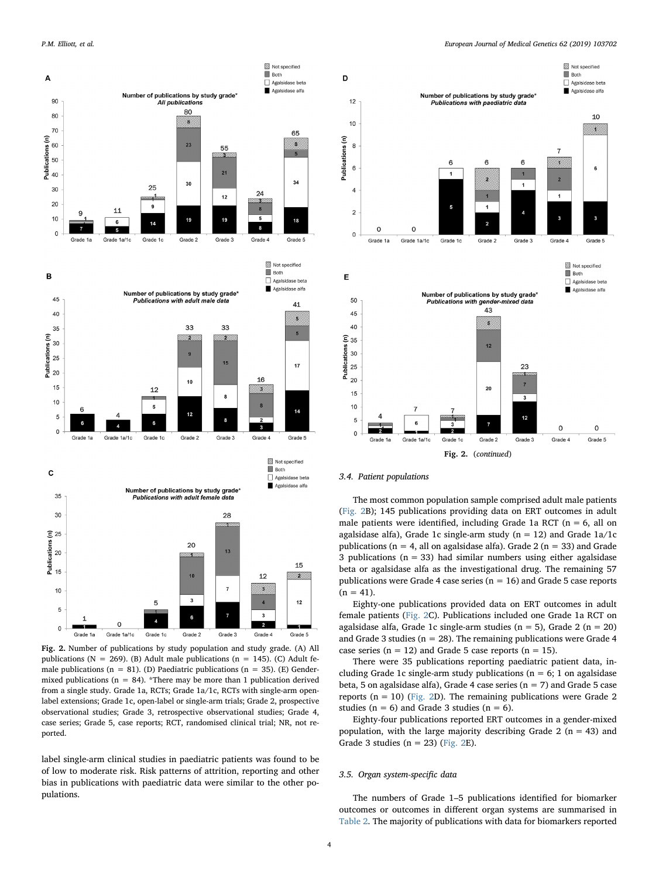<span id="page-3-0"></span>

Fig. 2. Number of publications by study population and study grade. (A) All publications ( $N = 269$ ). (B) Adult male publications ( $n = 145$ ). (C) Adult female publications ( $n = 81$ ). (D) Paediatric publications ( $n = 35$ ). (E) Gendermixed publications ( $n = 84$ ). \*There may be more than 1 publication derived from a single study. Grade 1a, RCTs; Grade 1a/1c, RCTs with single-arm openlabel extensions; Grade 1c, open-label or single-arm trials; Grade 2, prospective observational studies; Grade 3, retrospective observational studies; Grade 4, case series; Grade 5, case reports; RCT, randomised clinical trial; NR, not reported.

label single-arm clinical studies in paediatric patients was found to be of low to moderate risk. Risk patterns of attrition, reporting and other bias in publications with paediatric data were similar to the other populations.

P.M. Elliott, et al. *European Journal of Medical Genetics 62 (2019) 103702*



# 3.4. Patient populations

The most common population sample comprised adult male patients ([Fig. 2](#page-3-0)B); 145 publications providing data on ERT outcomes in adult male patients were identified, including Grade 1a RCT ( $n = 6$ , all on agalsidase alfa), Grade 1c single-arm study ( $n = 12$ ) and Grade 1a/1c publications ( $n = 4$ , all on agalsidase alfa). Grade 2 ( $n = 33$ ) and Grade 3 publications ( $n = 33$ ) had similar numbers using either agalsidase beta or agalsidase alfa as the investigational drug. The remaining 57 publications were Grade 4 case series ( $n = 16$ ) and Grade 5 case reports  $(n = 41)$ .

Eighty-one publications provided data on ERT outcomes in adult female patients ([Fig. 2](#page-3-0)C). Publications included one Grade 1a RCT on agalsidase alfa, Grade 1c single-arm studies ( $n = 5$ ), Grade 2 ( $n = 20$ ) and Grade 3 studies ( $n = 28$ ). The remaining publications were Grade 4 case series ( $n = 12$ ) and Grade 5 case reports ( $n = 15$ ).

There were 35 publications reporting paediatric patient data, including Grade 1c single-arm study publications ( $n = 6$ ; 1 on agalsidase beta, 5 on agalsidase alfa), Grade 4 case series ( $n = 7$ ) and Grade 5 case reports  $(n = 10)$  ([Fig. 2](#page-3-0)D). The remaining publications were Grade 2 studies ( $n = 6$ ) and Grade 3 studies ( $n = 6$ ).

Eighty-four publications reported ERT outcomes in a gender-mixed population, with the large majority describing Grade 2 ( $n = 43$ ) and Grade 3 studies ( $n = 23$ ) ([Fig. 2](#page-3-0)E).

#### 3.5. Organ system-specific data

The numbers of Grade 1–5 publications identified for biomarker outcomes or outcomes in different organ systems are summarised in [Table 2.](#page-4-0) The majority of publications with data for biomarkers reported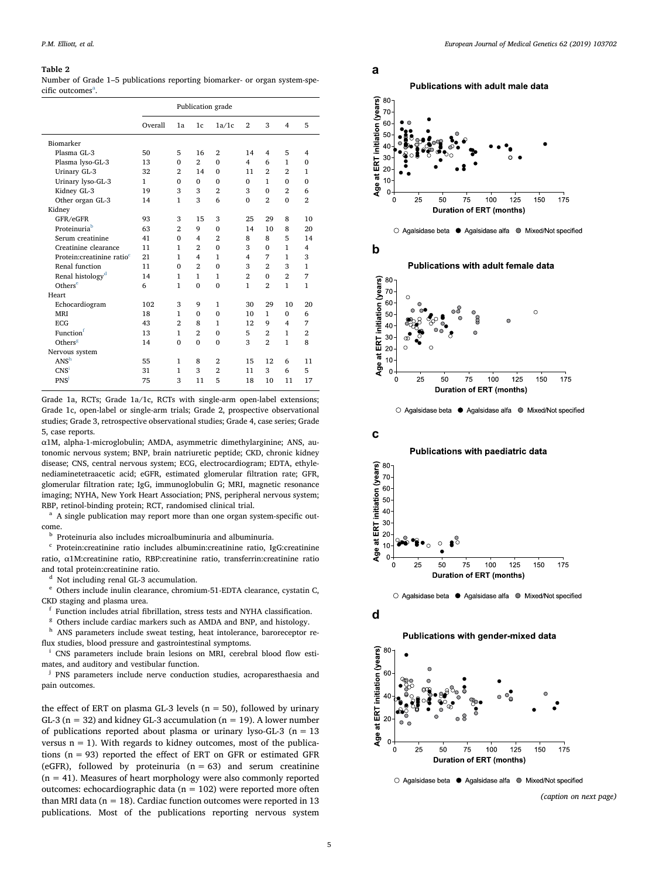#### <span id="page-4-0"></span>Table 2

Number of Grade 1–5 publications reporting biomarker- or organ system-specific outcomes<sup>[a](#page-4-1)</sup>.

|                                        | Publication grade |                |                |                |                |                |                         |                |  |
|----------------------------------------|-------------------|----------------|----------------|----------------|----------------|----------------|-------------------------|----------------|--|
|                                        | Overall           | 1a             | 1c             | 1a/1c          | $\overline{2}$ | 3              | $\overline{\mathbf{4}}$ | 5              |  |
| Biomarker                              |                   |                |                |                |                |                |                         |                |  |
| Plasma GL-3                            | 50                | 5              | 16             | $\overline{2}$ | 14             | $\overline{4}$ | 5                       | 4              |  |
| Plasma lyso-GL-3                       | 13                | $\Omega$       | 2              | $\Omega$       | 4              | 6              | 1                       | $\Omega$       |  |
| <b>Urinary GL-3</b>                    | 32                | $\overline{2}$ | 14             | $\Omega$       | 11             | $\overline{2}$ | $\overline{2}$          | 1              |  |
| Urinary lyso-GL-3                      | $\mathbf{1}$      | $\Omega$       | $\Omega$       | $\Omega$       | $\Omega$       | 1              | $\Omega$                | $\Omega$       |  |
| Kidney GL-3                            | 19                | 3              | 3              | $\overline{2}$ | 3              | $\Omega$       | $\overline{2}$          | 6              |  |
| Other organ GL-3                       | 14                | 1              | 3              | 6              | $\Omega$       | $\overline{2}$ | $\Omega$                | $\overline{2}$ |  |
| Kidney                                 |                   |                |                |                |                |                |                         |                |  |
| GFR/eGFR                               | 93                | 3              | 15             | 3              | 25             | 29             | 8                       | 10             |  |
| Proteinuria <sup>b</sup>               | 63                | $\overline{2}$ | 9              | $\Omega$       | 14             | 10             | 8                       | 20             |  |
| Serum creatinine                       | 41                | $\Omega$       | 4              | $\overline{2}$ | 8              | 8              | 5                       | 14             |  |
| Creatinine clearance                   | 11                | 1              | $\overline{2}$ | $\Omega$       | 3              | $\Omega$       | 1                       | 4              |  |
| Protein: creatinine ratio <sup>c</sup> | 21                | 1              | 4              | $\mathbf{1}$   | 4              | 7              | 1                       | 3              |  |
| Renal function                         | 11                | $\Omega$       | $\overline{2}$ | $\Omega$       | 3              | $\overline{2}$ | 3                       | 1              |  |
| Renal histology <sup>d</sup>           | 14                | 1              | 1              | $\mathbf{1}$   | $\overline{2}$ | $\Omega$       | $\overline{2}$          | 7              |  |
| Others <sup>e</sup>                    | 6                 | 1              | $\Omega$       | $\Omega$       | 1              | $\overline{2}$ | $\mathbf{1}$            | 1              |  |
| Heart                                  |                   |                |                |                |                |                |                         |                |  |
| Echocardiogram                         | 102               | 3              | 9              | $\mathbf{1}$   | 30             | 29             | 10                      | 20             |  |
| <b>MRI</b>                             | 18                | 1              | $\Omega$       | $\Omega$       | 10             | 1              | $\Omega$                | 6              |  |
| <b>ECG</b>                             | 43                | $\overline{2}$ | 8              | $\mathbf{1}$   | 12             | 9              | $\overline{\mathbf{4}}$ | 7              |  |
| Functionf                              | 13                | 1              | $\overline{2}$ | $\Omega$       | 5              | $\overline{2}$ | 1                       | $\overline{2}$ |  |
| Others <sup>g</sup>                    | 14                | $\Omega$       | $\Omega$       | $\Omega$       | 3              | $\overline{2}$ | 1                       | 8              |  |
| Nervous system                         |                   |                |                |                |                |                |                         |                |  |
| ANS <sup>h</sup>                       | 55                | 1              | 8              | $\overline{2}$ | 15             | 12             | 6                       | 11             |  |
| CNS <sup>i</sup>                       | 31                | 1              | 3              | $\overline{2}$ | 11             | 3              | 6                       | 5              |  |
| <b>PNS</b>                             | 75                | 3              | 11             | 5              | 18             | 10             | 11                      | 17             |  |
|                                        |                   |                |                |                |                |                |                         |                |  |

Grade 1a, RCTs; Grade 1a/1c, RCTs with single-arm open-label extensions; Grade 1c, open-label or single-arm trials; Grade 2, prospective observational studies; Grade 3, retrospective observational studies; Grade 4, case series; Grade 5, case reports.

α1M, alpha-1-microglobulin; AMDA, asymmetric dimethylarginine; ANS, autonomic nervous system; BNP, brain natriuretic peptide; CKD, chronic kidney disease; CNS, central nervous system; ECG, electrocardiogram; EDTA, ethylenediaminetetraacetic acid; eGFR, estimated glomerular filtration rate; GFR, glomerular filtration rate; IgG, immunoglobulin G; MRI, magnetic resonance imaging; NYHA, New York Heart Association; PNS, peripheral nervous system; RBP, retinol-binding protein; RCT, randomised clinical trial.

<span id="page-4-1"></span><sup>a</sup> A single publication may report more than one organ system-specific outcome.

<span id="page-4-2"></span>**b** Proteinuria also includes microalbuminuria and albuminuria.

<span id="page-4-3"></span><sup>c</sup> Protein:creatinine ratio includes albumin:creatinine ratio, IgG:creatinine ratio, α1M:creatinine ratio, RBP:creatinine ratio, transferrin:creatinine ratio and total protein:creatinine ratio.

<span id="page-4-4"></span>Not including renal GL-3 accumulation.

<span id="page-4-5"></span><sup>e</sup> Others include inulin clearance, chromium-51-EDTA clearance, cystatin C, CKD staging and plasma urea.

<span id="page-4-6"></span>Function includes atrial fibrillation, stress tests and NYHA classification.

<span id="page-4-7"></span> $8$  Others include cardiac markers such as AMDA and BNP, and histology.

<span id="page-4-8"></span>h ANS parameters include sweat testing, heat intolerance, baroreceptor re-

<span id="page-4-9"></span>flux studies, blood pressure and gastrointestinal symptoms. <sup>i</sup> CNS parameters include brain lesions on MRI, cerebral blood flow estimates, and auditory and vestibular function.

<span id="page-4-10"></span><sup>j</sup> PNS parameters include nerve conduction studies, acroparesthaesia and pain outcomes.

the effect of ERT on plasma GL-3 levels ( $n = 50$ ), followed by urinary GL-3 ( $n = 32$ ) and kidney GL-3 accumulation ( $n = 19$ ). A lower number of publications reported about plasma or urinary lyso-GL-3 ( $n = 13$ ) versus  $n = 1$ ). With regards to kidney outcomes, most of the publications (n = 93) reported the effect of ERT on GFR or estimated GFR (eGFR), followed by proteinuria  $(n = 63)$  and serum creatinine (n = 41). Measures of heart morphology were also commonly reported outcomes: echocardiographic data ( $n = 102$ ) were reported more often than MRI data ( $n = 18$ ). Cardiac function outcomes were reported in 13 publications. Most of the publications reporting nervous system

<span id="page-4-11"></span>

○ Agalsidase beta ● Agalsidase alfa ● Mixed/Not specified

**b**





○ Agalsidase beta ● Agalsidase alfa ● Mixed/Not specified



○ Agalsidase beta ● Agalsidase alfa ● Mixed/Not specified



Publications with gender-mixed data



(caption on next page)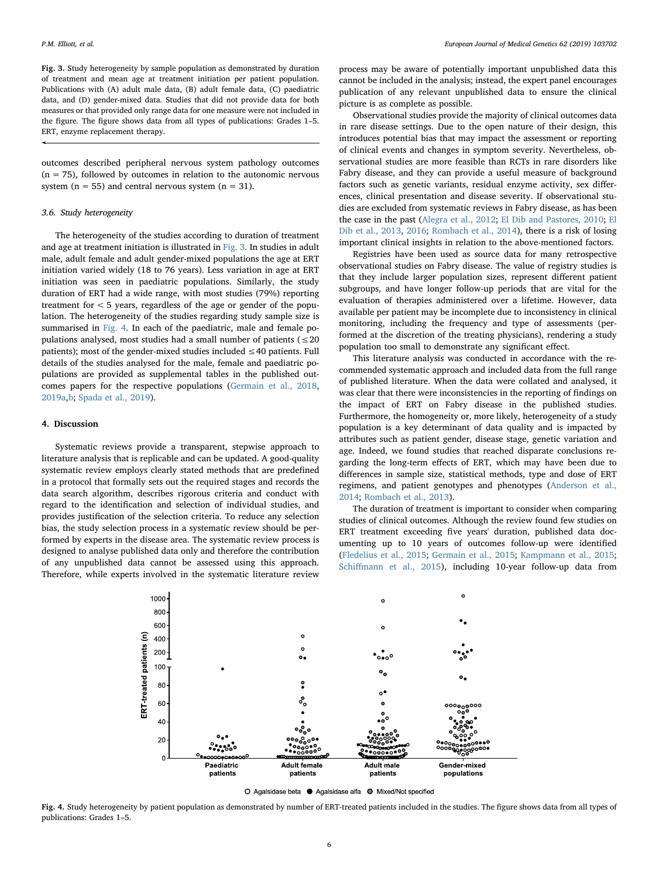Fig. 3. Study heterogeneity by sample population as demonstrated by duration of treatment and mean age at treatment initiation per patient population. Publications with (A) adult male data, (B) adult female data, (C) paediatric data, and (D) gender-mixed data. Studies that did not provide data for both measures or that provided only range data for one measure were not included in the figure. The figure shows data from all types of publications: Grades 1–5. ERT, enzyme replacement therapy.

outcomes described peripheral nervous system pathology outcomes  $(n = 75)$ , followed by outcomes in relation to the autonomic nervous system ( $n = 55$ ) and central nervous system ( $n = 31$ ).

## 3.6. Study heterogeneity

The heterogeneity of the studies according to duration of treatment and age at treatment initiation is illustrated in [Fig. 3](#page-4-11). In studies in adult male, adult female and adult gender-mixed populations the age at ERT initiation varied widely (18 to 76 years). Less variation in age at ERT initiation was seen in paediatric populations. Similarly, the study duration of ERT had a wide range, with most studies (79%) reporting treatment for  $<$  5 years, regardless of the age or gender of the population. The heterogeneity of the studies regarding study sample size is summarised in [Fig. 4](#page-5-0). In each of the paediatric, male and female populations analysed, most studies had a small number of patients ( $\leq 20$ ) patients); most of the gender-mixed studies included  $\leq 40$  patients. Full details of the studies analysed for the male, female and paediatric populations are provided as supplemental tables in the published outcomes papers for the respective populations [\(Germain et al., 2018](#page-7-8), [2019a,](#page-7-9)[b](#page-7-13); [Spada et al., 2019\)](#page-7-10).

# 4. Discussion

Systematic reviews provide a transparent, stepwise approach to literature analysis that is replicable and can be updated. A good-quality systematic review employs clearly stated methods that are predefined in a protocol that formally sets out the required stages and records the data search algorithm, describes rigorous criteria and conduct with regard to the identification and selection of individual studies, and provides justification of the selection criteria. To reduce any selection bias, the study selection process in a systematic review should be performed by experts in the disease area. The systematic review process is designed to analyse published data only and therefore the contribution of any unpublished data cannot be assessed using this approach. Therefore, while experts involved in the systematic literature review

process may be aware of potentially important unpublished data this cannot be included in the analysis; instead, the expert panel encourages publication of any relevant unpublished data to ensure the clinical picture is as complete as possible.

Observational studies provide the majority of clinical outcomes data in rare disease settings. Due to the open nature of their design, this introduces potential bias that may impact the assessment or reporting of clinical events and changes in symptom severity. Nevertheless, observational studies are more feasible than RCTs in rare disorders like Fabry disease, and they can provide a useful measure of background factors such as genetic variants, residual enzyme activity, sex differences, clinical presentation and disease severity. If observational studies are excluded from systematic reviews in Fabry disease, as has been the case in the past ([Alegra et al., 2012](#page-7-15); [El Dib and Pastores, 2010;](#page-7-4) [El](#page-7-5) [Dib et al., 2013,](#page-7-5) [2016;](#page-7-6) [Rombach et al., 2014](#page-7-16)), there is a risk of losing important clinical insights in relation to the above-mentioned factors.

Registries have been used as source data for many retrospective observational studies on Fabry disease. The value of registry studies is that they include larger population sizes, represent different patient subgroups, and have longer follow-up periods that are vital for the evaluation of therapies administered over a lifetime. However, data available per patient may be incomplete due to inconsistency in clinical monitoring, including the frequency and type of assessments (performed at the discretion of the treating physicians), rendering a study population too small to demonstrate any significant effect.

This literature analysis was conducted in accordance with the recommended systematic approach and included data from the full range of published literature. When the data were collated and analysed, it was clear that there were inconsistencies in the reporting of findings on the impact of ERT on Fabry disease in the published studies. Furthermore, the homogeneity or, more likely, heterogeneity of a study population is a key determinant of data quality and is impacted by attributes such as patient gender, disease stage, genetic variation and age. Indeed, we found studies that reached disparate conclusions regarding the long-term effects of ERT, which may have been due to differences in sample size, statistical methods, type and dose of ERT regimens, and patient genotypes and phenotypes ([Anderson et al.,](#page-7-17) [2014;](#page-7-17) [Rombach et al., 2013\)](#page-7-18).

The duration of treatment is important to consider when comparing studies of clinical outcomes. Although the review found few studies on ERT treatment exceeding five years' duration, published data documenting up to 10 years of outcomes follow-up were identified ([Fledelius et al., 2015;](#page-7-19) [Germain et al., 2015;](#page-7-20) [Kampmann et al., 2015](#page-7-21); Schiff[mann et al., 2015\)](#page-7-22), including 10-year follow-up data from

<span id="page-5-0"></span>

O Agalsidase beta ● Agalsidase alfa ● Mixed/Not specified

Fig. 4. Study heterogeneity by patient population as demonstrated by number of ERT-treated patients included in the studies. The figure shows data from all types of publications: Grades 1–5.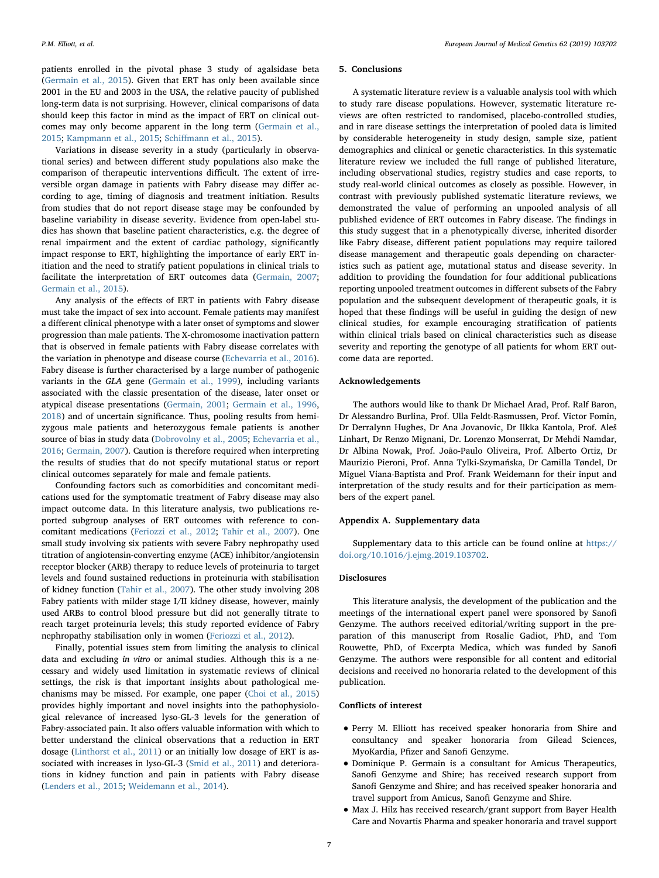patients enrolled in the pivotal phase 3 study of agalsidase beta ([Germain et al., 2015\)](#page-7-20). Given that ERT has only been available since 2001 in the EU and 2003 in the USA, the relative paucity of published long-term data is not surprising. However, clinical comparisons of data should keep this factor in mind as the impact of ERT on clinical outcomes may only become apparent in the long term ([Germain et al.,](#page-7-20) [2015;](#page-7-20) [Kampmann et al., 2015](#page-7-21); Schiff[mann et al., 2015](#page-7-22)).

Variations in disease severity in a study (particularly in observational series) and between different study populations also make the comparison of therapeutic interventions difficult. The extent of irreversible organ damage in patients with Fabry disease may differ according to age, timing of diagnosis and treatment initiation. Results from studies that do not report disease stage may be confounded by baseline variability in disease severity. Evidence from open-label studies has shown that baseline patient characteristics, e.g. the degree of renal impairment and the extent of cardiac pathology, significantly impact response to ERT, highlighting the importance of early ERT initiation and the need to stratify patient populations in clinical trials to facilitate the interpretation of ERT outcomes data ([Germain, 2007](#page-7-23); [Germain et al., 2015](#page-7-20)).

Any analysis of the effects of ERT in patients with Fabry disease must take the impact of sex into account. Female patients may manifest a different clinical phenotype with a later onset of symptoms and slower progression than male patients. The X-chromosome inactivation pattern that is observed in female patients with Fabry disease correlates with the variation in phenotype and disease course ([Echevarria et al., 2016](#page-7-3)). Fabry disease is further characterised by a large number of pathogenic variants in the GLA gene [\(Germain et al., 1999](#page-7-24)), including variants associated with the classic presentation of the disease, later onset or atypical disease presentations ([Germain, 2001;](#page-7-25) [Germain et al., 1996](#page-7-26), [2018\)](#page-7-8) and of uncertain significance. Thus, pooling results from hemizygous male patients and heterozygous female patients is another source of bias in study data [\(Dobrovolny et al., 2005;](#page-7-27) [Echevarria et al.,](#page-7-3) [2016;](#page-7-3) [Germain, 2007\)](#page-7-23). Caution is therefore required when interpreting the results of studies that do not specify mutational status or report clinical outcomes separately for male and female patients.

Confounding factors such as comorbidities and concomitant medications used for the symptomatic treatment of Fabry disease may also impact outcome data. In this literature analysis, two publications reported subgroup analyses of ERT outcomes with reference to concomitant medications [\(Feriozzi et al., 2012](#page-7-28); [Tahir et al., 2007\)](#page-7-29). One small study involving six patients with severe Fabry nephropathy used titration of angiotensin-converting enzyme (ACE) inhibitor/angiotensin receptor blocker (ARB) therapy to reduce levels of proteinuria to target levels and found sustained reductions in proteinuria with stabilisation of kidney function [\(Tahir et al., 2007\)](#page-7-29). The other study involving 208 Fabry patients with milder stage I/II kidney disease, however, mainly used ARBs to control blood pressure but did not generally titrate to reach target proteinuria levels; this study reported evidence of Fabry nephropathy stabilisation only in women ([Feriozzi et al., 2012](#page-7-28)).

Finally, potential issues stem from limiting the analysis to clinical data and excluding in vitro or animal studies. Although this is a necessary and widely used limitation in systematic reviews of clinical settings, the risk is that important insights about pathological mechanisms may be missed. For example, one paper [\(Choi et al., 2015\)](#page-7-30) provides highly important and novel insights into the pathophysiological relevance of increased lyso-GL-3 levels for the generation of Fabry-associated pain. It also offers valuable information with which to better understand the clinical observations that a reduction in ERT dosage ([Linthorst et al., 2011](#page-7-31)) or an initially low dosage of ERT is associated with increases in lyso-GL-3 [\(Smid et al., 2011\)](#page-7-32) and deteriorations in kidney function and pain in patients with Fabry disease ([Lenders et al., 2015](#page-7-33); [Weidemann et al., 2014\)](#page-7-34).

## 5. Conclusions

A systematic literature review is a valuable analysis tool with which to study rare disease populations. However, systematic literature reviews are often restricted to randomised, placebo-controlled studies, and in rare disease settings the interpretation of pooled data is limited by considerable heterogeneity in study design, sample size, patient demographics and clinical or genetic characteristics. In this systematic literature review we included the full range of published literature, including observational studies, registry studies and case reports, to study real-world clinical outcomes as closely as possible. However, in contrast with previously published systematic literature reviews, we demonstrated the value of performing an unpooled analysis of all published evidence of ERT outcomes in Fabry disease. The findings in this study suggest that in a phenotypically diverse, inherited disorder like Fabry disease, different patient populations may require tailored disease management and therapeutic goals depending on characteristics such as patient age, mutational status and disease severity. In addition to providing the foundation for four additional publications reporting unpooled treatment outcomes in different subsets of the Fabry population and the subsequent development of therapeutic goals, it is hoped that these findings will be useful in guiding the design of new clinical studies, for example encouraging stratification of patients within clinical trials based on clinical characteristics such as disease severity and reporting the genotype of all patients for whom ERT outcome data are reported.

## Acknowledgements

The authors would like to thank Dr Michael Arad, Prof. Ralf Baron, Dr Alessandro Burlina, Prof. Ulla Feldt-Rasmussen, Prof. Victor Fomin, Dr Derralynn Hughes, Dr Ana Jovanovic, Dr Ilkka Kantola, Prof. Aleš Linhart, Dr Renzo Mignani, Dr. Lorenzo Monserrat, Dr Mehdi Namdar, Dr Albina Nowak, Prof. João-Paulo Oliveira, Prof. Alberto Ortiz, Dr Maurizio Pieroni, Prof. Anna Tylki-Szymańska, Dr Camilla Tøndel, Dr Miguel Viana-Baptista and Prof. Frank Weidemann for their input and interpretation of the study results and for their participation as members of the expert panel.

## Appendix A. Supplementary data

Supplementary data to this article can be found online at [https://](https://doi.org/10.1016/j.ejmg.2019.103702) [doi.org/10.1016/j.ejmg.2019.103702.](https://doi.org/10.1016/j.ejmg.2019.103702)

# Disclosures

This literature analysis, the development of the publication and the meetings of the international expert panel were sponsored by Sanofi Genzyme. The authors received editorial/writing support in the preparation of this manuscript from Rosalie Gadiot, PhD, and Tom Rouwette, PhD, of Excerpta Medica, which was funded by Sanofi Genzyme. The authors were responsible for all content and editorial decisions and received no honoraria related to the development of this publication.

# Conflicts of interest

- Perry M. Elliott has received speaker honoraria from Shire and consultancy and speaker honoraria from Gilead Sciences, MyoKardia, Pfizer and Sanofi Genzyme.
- Dominique P. Germain is a consultant for Amicus Therapeutics, Sanofi Genzyme and Shire; has received research support from Sanofi Genzyme and Shire; and has received speaker honoraria and travel support from Amicus, Sanofi Genzyme and Shire.
- Max J. Hilz has received research/grant support from Bayer Health Care and Novartis Pharma and speaker honoraria and travel support